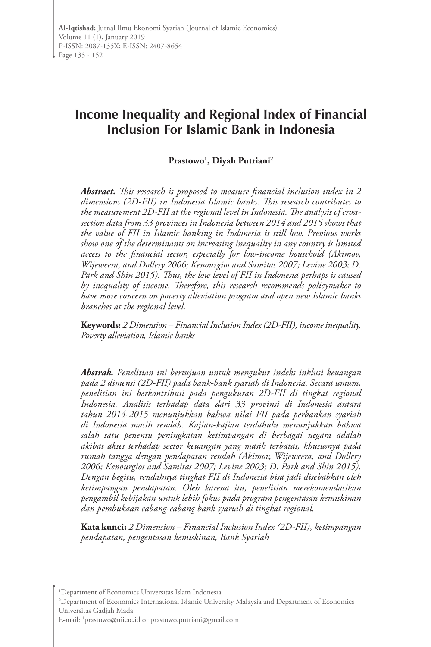# **Income Inequality and Regional Index of Financial Inclusion For Islamic Bank in Indonesia**

### **Prastowo1 , Diyah Putriani2**

*Abstract. This research is proposed to measure financial inclusion index in 2 dimensions (2D-FII) in Indonesia Islamic banks. This research contributes to the measurement 2D-FII at the regional level in Indonesia. The analysis of crosssection data from 33 provinces in Indonesia between 2014 and 2015 shows that the value of FII in Islamic banking in Indonesia is still low. Previous works show one of the determinants on increasing inequality in any country is limited access to the financial sector, especially for low-income household (Akimov, Wijeweera, and Dollery 2006; Kenourgios and Samitas 2007; Levine 2003; D. Park and Shin 2015). Thus, the low level of FII in Indonesia perhaps is caused by inequality of income. Therefore, this research recommends policymaker to have more concern on poverty alleviation program and open new Islamic banks branches at the regional level.* 

**Keywords:** *2 Dimension – Financial Inclusion Index (2D-FII), income inequality, Poverty alleviation, Islamic banks* 

*Abstrak. Penelitian ini bertujuan untuk mengukur indeks inklusi keuangan pada 2 dimensi (2D-FII) pada bank-bank syariah di Indonesia. Secara umum, penelitian ini berkontribusi pada pengukuran 2D-FII di tingkat regional Indonesia. Analisis terhadap data dari 33 provinsi di Indonesia antara tahun 2014-2015 menunjukkan bahwa nilai FII pada perbankan syariah di Indonesia masih rendah. Kajian-kajian terdahulu menunjukkan bahwa salah satu penentu peningkatan ketimpangan di berbagai negara adalah akibat akses terhadap sector keuangan yang masih terbatas, khususnya pada rumah tangga dengan pendapatan rendah (Akimov, Wijeweera, and Dollery 2006; Kenourgios and Samitas 2007; Levine 2003; D. Park and Shin 2015). Dengan begitu, rendahnya tingkat FII di Indonesia bisa jadi disebabkan oleh ketimpangan pendapatan. Oleh karena itu, penelitian merekomendasikan pengambil kebijakan untuk lebih fokus pada program pengentasan kemiskinan dan pembukaan cabang-cabang bank syariah di tingkat regional.* 

**Kata kunci:** *2 Dimension – Financial Inclusion Index (2D-FII), ketimpangan pendapatan, pengentasan kemiskinan, Bank Syariah*

1 Department of Economics Universitas Islam Indonesia

2 Department of Economics International Islamic University Malaysia and Department of Economics Universitas Gadjah Mada

E-mail: 1 prastowo@uii.ac.id or prastowo.putriani@gmail.com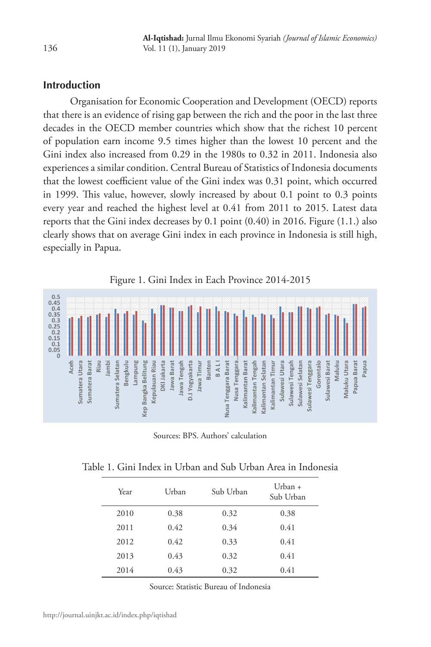# **Introduction**

Organisation for Economic Cooperation and Development (OECD) reports that there is an evidence of rising gap between the rich and the poor in the last three decades in the OECD member countries which show that the richest 10 percent of population earn income 9.5 times higher than the lowest 10 percent and the Gini index also increased from 0.29 in the 1980s to 0.32 in 2011. Indonesia also experiences a similar condition. Central Bureau of Statistics of Indonesia documents that the lowest coefficient value of the Gini index was 0.31 point, which occurred in 1999. This value, however, slowly increased by about 0.1 point to 0.3 points every year and reached the highest level at 0.41 from 2011 to 2015. Latest data reports that the Gini index decreases by 0.1 point (0.40) in 2016. Figure (1.1.) also clearly shows that on average Gini index in each province in Indonesia is still high, especially in Papua.



Sources: BPS. Authors' calculation

| Year | Urban | Sub Urban | Urban $+$<br>Sub Urban |
|------|-------|-----------|------------------------|
| 2010 | 0.38  | 0.32      | 0.38                   |
| 2011 | 0.42  | 0.34      | 0.41                   |
| 2012 | 0.42  | 0.33      | 0.41                   |
| 2013 | 0.43  | 0.32      | 0.41                   |
| 2014 | 0.43  | 0.32      | 0.41                   |

Source: Statistic Bureau of Indonesia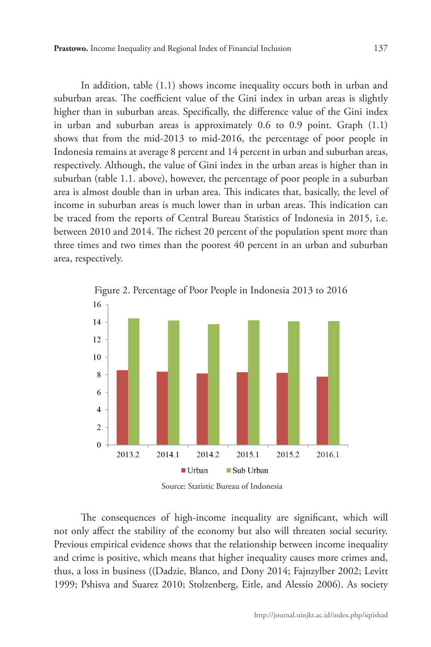In addition, table (1.1) shows income inequality occurs both in urban and suburban areas. The coefficient value of the Gini index in urban areas is slightly higher than in suburban areas. Specifically, the difference value of the Gini index in urban and suburban areas is approximately 0.6 to 0.9 point. Graph (1.1) shows that from the mid-2013 to mid-2016, the percentage of poor people in Indonesia remains at average 8 percent and 14 percent in urban and suburban areas, respectively. Although, the value of Gini index in the urban areas is higher than in suburban (table 1.1. above), however, the percentage of poor people in a suburban area is almost double than in urban area. This indicates that, basically, the level of income in suburban areas is much lower than in urban areas. This indication can be traced from the reports of Central Bureau Statistics of Indonesia in 2015, i.e. between 2010 and 2014. The richest 20 percent of the population spent more than three times and two times than the poorest 40 percent in an urban and suburban area, respectively.



The consequences of high-income inequality are significant, which will not only affect the stability of the economy but also will threaten social security. Previous empirical evidence shows that the relationship between income inequality and crime is positive, which means that higher inequality causes more crimes and, thus, a loss in business ((Dadzie, Blanco, and Dony 2014; Fajnzylber 2002; Levitt 1999; Pshisva and Suarez 2010; Stolzenberg, Eitle, and Alessio 2006). As society

Figure 2. Percentage of Poor People in Indonesia 2013 to 2016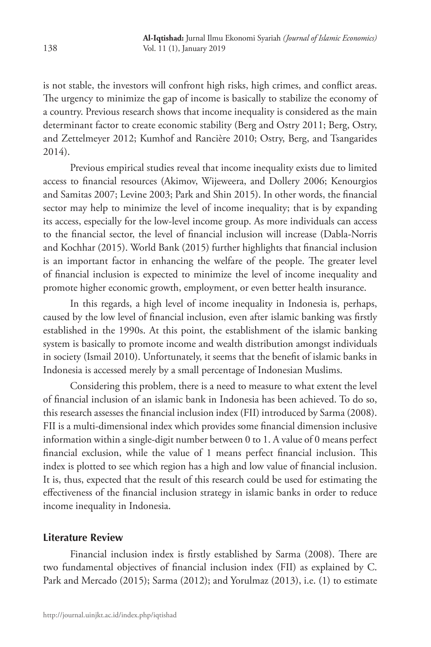is not stable, the investors will confront high risks, high crimes, and conflict areas. The urgency to minimize the gap of income is basically to stabilize the economy of a country. Previous research shows that income inequality is considered as the main determinant factor to create economic stability (Berg and Ostry 2011; Berg, Ostry, and Zettelmeyer 2012; Kumhof and Rancière 2010; Ostry, Berg, and Tsangarides 2014).

Previous empirical studies reveal that income inequality exists due to limited access to financial resources (Akimov, Wijeweera, and Dollery 2006; Kenourgios and Samitas 2007; Levine 2003; Park and Shin 2015). In other words, the financial sector may help to minimize the level of income inequality; that is by expanding its access, especially for the low-level income group. As more individuals can access to the financial sector, the level of financial inclusion will increase (Dabla-Norris and Kochhar (2015). World Bank (2015) further highlights that financial inclusion is an important factor in enhancing the welfare of the people. The greater level of financial inclusion is expected to minimize the level of income inequality and promote higher economic growth, employment, or even better health insurance.

In this regards, a high level of income inequality in Indonesia is, perhaps, caused by the low level of financial inclusion, even after islamic banking was firstly established in the 1990s. At this point, the establishment of the islamic banking system is basically to promote income and wealth distribution amongst individuals in society (Ismail 2010). Unfortunately, it seems that the benefit of islamic banks in Indonesia is accessed merely by a small percentage of Indonesian Muslims.

Considering this problem, there is a need to measure to what extent the level of financial inclusion of an islamic bank in Indonesia has been achieved. To do so, this research assesses the financial inclusion index (FII) introduced by Sarma (2008). FII is a multi-dimensional index which provides some financial dimension inclusive information within a single-digit number between 0 to 1. A value of 0 means perfect financial exclusion, while the value of 1 means perfect financial inclusion. This index is plotted to see which region has a high and low value of financial inclusion. It is, thus, expected that the result of this research could be used for estimating the effectiveness of the financial inclusion strategy in islamic banks in order to reduce income inequality in Indonesia.

# **Literature Review**

Financial inclusion index is firstly established by Sarma (2008). There are two fundamental objectives of financial inclusion index (FII) as explained by C. Park and Mercado (2015); Sarma (2012); and Yorulmaz (2013), i.e. (1) to estimate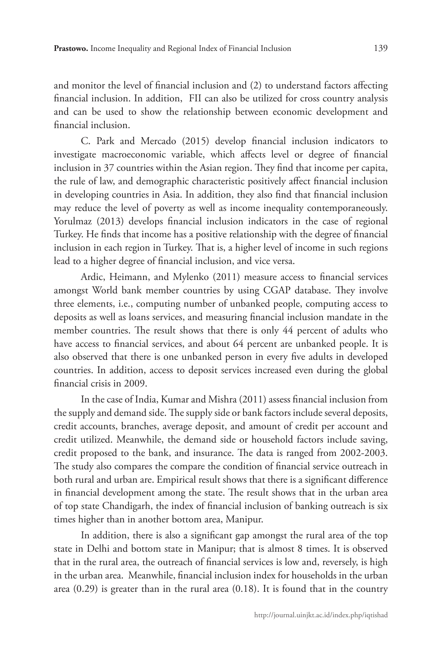and monitor the level of financial inclusion and (2) to understand factors affecting financial inclusion. In addition, FII can also be utilized for cross country analysis and can be used to show the relationship between economic development and financial inclusion.

C. Park and Mercado (2015) develop financial inclusion indicators to investigate macroeconomic variable, which affects level or degree of financial inclusion in 37 countries within the Asian region. They find that income per capita, the rule of law, and demographic characteristic positively affect financial inclusion in developing countries in Asia. In addition, they also find that financial inclusion may reduce the level of poverty as well as income inequality contemporaneously. Yorulmaz (2013) develops financial inclusion indicators in the case of regional Turkey. He finds that income has a positive relationship with the degree of financial inclusion in each region in Turkey. That is, a higher level of income in such regions lead to a higher degree of financial inclusion, and vice versa.

Ardic, Heimann, and Mylenko (2011) measure access to financial services amongst World bank member countries by using CGAP database. They involve three elements, i.e., computing number of unbanked people, computing access to deposits as well as loans services, and measuring financial inclusion mandate in the member countries. The result shows that there is only 44 percent of adults who have access to financial services, and about 64 percent are unbanked people. It is also observed that there is one unbanked person in every five adults in developed countries. In addition, access to deposit services increased even during the global financial crisis in 2009.

In the case of India, Kumar and Mishra (2011) assess financial inclusion from the supply and demand side. The supply side or bank factors include several deposits, credit accounts, branches, average deposit, and amount of credit per account and credit utilized. Meanwhile, the demand side or household factors include saving, credit proposed to the bank, and insurance. The data is ranged from 2002-2003. The study also compares the compare the condition of financial service outreach in both rural and urban are. Empirical result shows that there is a significant difference in financial development among the state. The result shows that in the urban area of top state Chandigarh, the index of financial inclusion of banking outreach is six times higher than in another bottom area, Manipur.

In addition, there is also a significant gap amongst the rural area of the top state in Delhi and bottom state in Manipur; that is almost 8 times. It is observed that in the rural area, the outreach of financial services is low and, reversely, is high in the urban area. Meanwhile, financial inclusion index for households in the urban area (0.29) is greater than in the rural area (0.18). It is found that in the country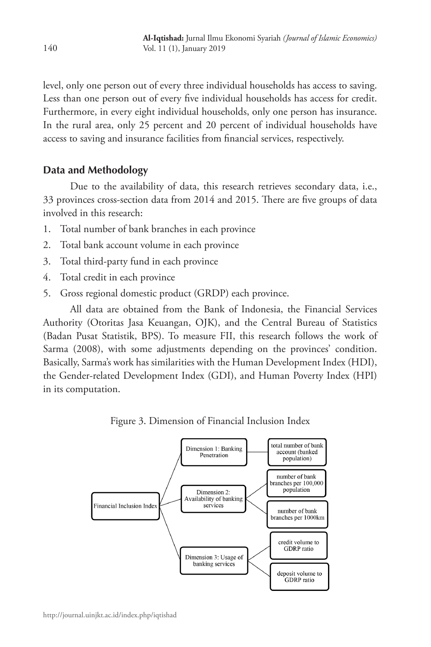level, only one person out of every three individual households has access to saving. Less than one person out of every five individual households has access for credit. Furthermore, in every eight individual households, only one person has insurance. In the rural area, only 25 percent and 20 percent of individual households have access to saving and insurance facilities from financial services, respectively.

# **Data and Methodology**

Due to the availability of data, this research retrieves secondary data, i.e., 33 provinces cross-section data from 2014 and 2015. There are five groups of data involved in this research:

- 1. Total number of bank branches in each province
- 2. Total bank account volume in each province
- 3. Total third-party fund in each province
- 4. Total credit in each province
- 5. Gross regional domestic product (GRDP) each province.

All data are obtained from the Bank of Indonesia, the Financial Services Authority (Otoritas Jasa Keuangan, OJK), and the Central Bureau of Statistics (Badan Pusat Statistik, BPS). To measure FII, this research follows the work of Sarma (2008), with some adjustments depending on the provinces' condition. Basically, Sarma's work has similarities with the Human Development Index (HDI), the Gender-related Development Index (GDI), and Human Poverty Index (HPI) in its computation.

Figure 3. Dimension of Financial Inclusion Index

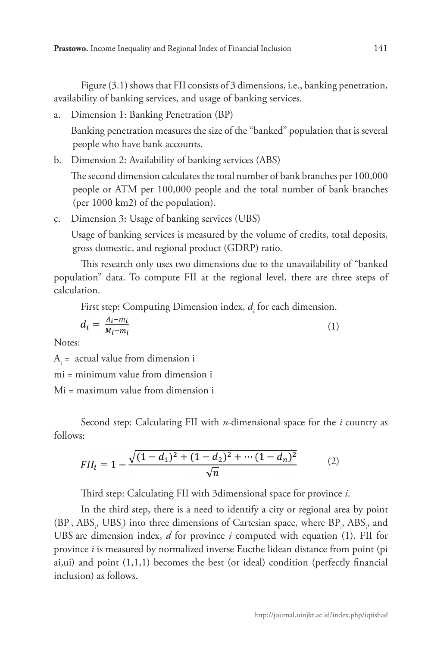Figure (3.1) shows that FII consists of 3 dimensions, i.e., banking penetration, availability of banking services, and usage of banking services.

a. Dimension 1: Banking Penetration (BP)

Banking penetration measures the size of the "banked" population that is several people who have bank accounts.

b. Dimension 2: Availability of banking services (ABS)

The second dimension calculates the total number of bank branches per 100,000 people or ATM per 100,000 people and the total number of bank branches (per 1000 km2) of the population).

c. Dimension 3: Usage of banking services (UBS)

Usage of banking services is measured by the volume of credits, total deposits, gross domestic, and regional product (GDRP) ratio.

This research only uses two dimensions due to the unavailability of "banked population" data. To compute FII at the regional level, there are three steps of calculation.

First step: Computing Dimension index,  $d_i$  for each dimension.

$$
d_i = \frac{A_i - m_i}{M_i - m_i} \tag{1}
$$

Notes:

 $A_i$  = actual value from dimension i

mi = minimum value from dimension i

Mi = maximum value from dimension i

Second step: Calculating FII with *n-*dimensional space for the *i* country as follows:

$$
FII_i = 1 - \frac{\sqrt{(1 - d_1)^2 + (1 - d_2)^2 + \dots + (1 - d_n)^2}}{\sqrt{n}} \tag{2}
$$

Third step: Calculating FII with 3dimensional space for province *i*.

In the third step, there is a need to identify a city or regional area by point  $(BP_i, ABS_i, UBS_i)$  into three dimensions of Cartesian space, where  $BP_i$ ,  $ABS_i$ , and UBS are dimension index, *d* for province *i* computed with equation (1). FII for province *i* is measured by normalized inverse Eucthe lidean distance from point (pi ai,ui) and point  $(1,1,1)$  becomes the best (or ideal) condition (perfectly financial inclusion) as follows.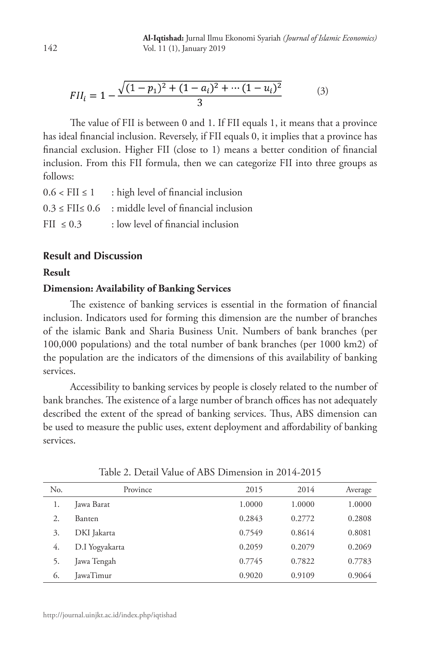$$
FII_i = 1 - \frac{\sqrt{(1 - p_1)^2 + (1 - a_i)^2 + \dots + (1 - u_i)^2}}{3}
$$
 (3)

The value of FII is between 0 and 1. If FII equals 1, it means that a province has ideal financial inclusion. Reversely, if FII equals 0, it implies that a province has financial exclusion. Higher FII (close to 1) means a better condition of financial inclusion. From this FII formula, then we can categorize FII into three groups as follows:

| $0.6 <$ FII $\leq 1$ | : high level of financial inclusion                             |
|----------------------|-----------------------------------------------------------------|
|                      | $0.3 \leq$ FII $\leq 0.6$ : middle level of financial inclusion |
| FII $\leq 0.3$       | : low level of financial inclusion                              |

# **Result and Discussion**

#### **Result**

## **Dimension: Availability of Banking Services**

The existence of banking services is essential in the formation of financial inclusion. Indicators used for forming this dimension are the number of branches of the islamic Bank and Sharia Business Unit. Numbers of bank branches (per 100,000 populations) and the total number of bank branches (per 1000 km2) of the population are the indicators of the dimensions of this availability of banking services.

Accessibility to banking services by people is closely related to the number of bank branches. The existence of a large number of branch offices has not adequately described the extent of the spread of banking services. Thus, ABS dimension can be used to measure the public uses, extent deployment and affordability of banking services.

| No. | Province       | 2015   | 2014   | Average |
|-----|----------------|--------|--------|---------|
| 1.  | Jawa Barat     | 1.0000 | 1.0000 | 1.0000  |
| 2.  | <b>Banten</b>  | 0.2843 | 0.2772 | 0.2808  |
| 3.  | DKI Jakarta    | 0.7549 | 0.8614 | 0.8081  |
| 4.  | D.I Yogyakarta | 0.2059 | 0.2079 | 0.2069  |
| 5.  | Jawa Tengah    | 0.7745 | 0.7822 | 0.7783  |
| 6.  | JawaTimur      | 0.9020 | 0.9109 | 0.9064  |

Table 2. Detail Value of ABS Dimension in 2014-2015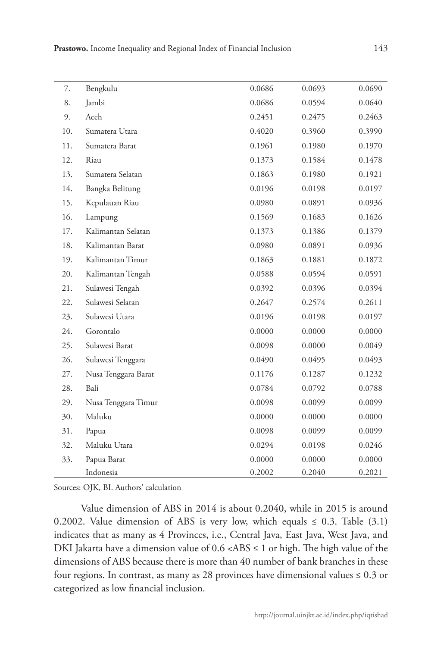| 7.  | Bengkulu            | 0.0686 | 0.0693 | 0.0690 |
|-----|---------------------|--------|--------|--------|
| 8.  | Jambi               | 0.0686 | 0.0594 | 0.0640 |
| 9.  | Aceh                | 0.2451 | 0.2475 | 0.2463 |
| 10. | Sumatera Utara      | 0.4020 | 0.3960 | 0.3990 |
| 11. | Sumatera Barat      | 0.1961 | 0.1980 | 0.1970 |
| 12. | Riau                | 0.1373 | 0.1584 | 0.1478 |
| 13. | Sumatera Selatan    | 0.1863 | 0.1980 | 0.1921 |
| 14. | Bangka Belitung     | 0.0196 | 0.0198 | 0.0197 |
| 15. | Kepulauan Riau      | 0.0980 | 0.0891 | 0.0936 |
| 16. | Lampung             | 0.1569 | 0.1683 | 0.1626 |
| 17. | Kalimantan Selatan  | 0.1373 | 0.1386 | 0.1379 |
| 18. | Kalimantan Barat    | 0.0980 | 0.0891 | 0.0936 |
| 19. | Kalimantan Timur    | 0.1863 | 0.1881 | 0.1872 |
| 20. | Kalimantan Tengah   | 0.0588 | 0.0594 | 0.0591 |
| 21. | Sulawesi Tengah     | 0.0392 | 0.0396 | 0.0394 |
| 22. | Sulawesi Selatan    | 0.2647 | 0.2574 | 0.2611 |
| 23. | Sulawesi Utara      | 0.0196 | 0.0198 | 0.0197 |
| 24. | Gorontalo           | 0.0000 | 0.0000 | 0.0000 |
| 25. | Sulawesi Barat      | 0.0098 | 0.0000 | 0.0049 |
| 26. | Sulawesi Tenggara   | 0.0490 | 0.0495 | 0.0493 |
| 27. | Nusa Tenggara Barat | 0.1176 | 0.1287 | 0.1232 |
| 28. | Bali                | 0.0784 | 0.0792 | 0.0788 |
| 29. | Nusa Tenggara Timur | 0.0098 | 0.0099 | 0.0099 |
| 30. | Maluku              | 0.0000 | 0.0000 | 0.0000 |
| 31. | Papua               | 0.0098 | 0.0099 | 0.0099 |
| 32. | Maluku Utara        | 0.0294 | 0.0198 | 0.0246 |
| 33. | Papua Barat         | 0.0000 | 0.0000 | 0.0000 |
|     | Indonesia           | 0.2002 | 0.2040 | 0.2021 |

Sources: OJK, BI. Authors' calculation

Value dimension of ABS in 2014 is about 0.2040, while in 2015 is around 0.2002. Value dimension of ABS is very low, which equals  $\leq$  0.3. Table (3.1) indicates that as many as 4 Provinces, i.e., Central Java, East Java, West Java, and DKI Jakarta have a dimension value of  $0.6 < ABS \le 1$  or high. The high value of the dimensions of ABS because there is more than 40 number of bank branches in these four regions. In contrast, as many as 28 provinces have dimensional values  $\leq 0.3$  or categorized as low financial inclusion.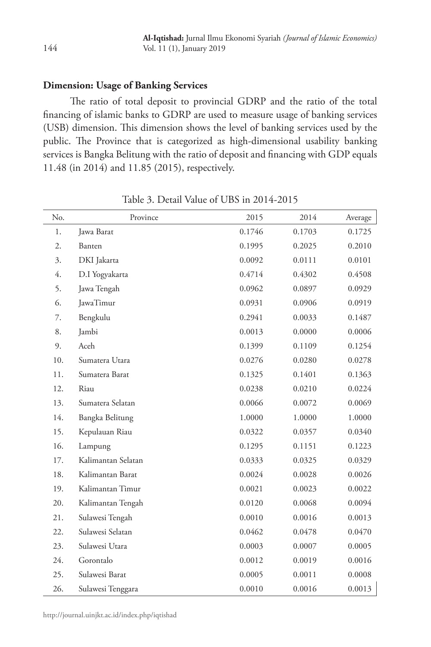# **Dimension: Usage of Banking Services**

The ratio of total deposit to provincial GDRP and the ratio of the total financing of islamic banks to GDRP are used to measure usage of banking services (USB) dimension. This dimension shows the level of banking services used by the public. The Province that is categorized as high-dimensional usability banking services is Bangka Belitung with the ratio of deposit and financing with GDP equals 11.48 (in 2014) and 11.85 (2015), respectively.

| No. | Province           | 2015   | 2014   | Average |
|-----|--------------------|--------|--------|---------|
| 1.  | Jawa Barat         | 0.1746 | 0.1703 | 0.1725  |
| 2.  | Banten             | 0.1995 | 0.2025 | 0.2010  |
| 3.  | DKI Jakarta        | 0.0092 | 0.0111 | 0.0101  |
| 4.  | D.I Yogyakarta     | 0.4714 | 0.4302 | 0.4508  |
| 5.  | Jawa Tengah        | 0.0962 | 0.0897 | 0.0929  |
| 6.  | JawaTimur          | 0.0931 | 0.0906 | 0.0919  |
| 7.  | Bengkulu           | 0.2941 | 0.0033 | 0.1487  |
| 8.  | Jambi              | 0.0013 | 0.0000 | 0.0006  |
| 9.  | Aceh               | 0.1399 | 0.1109 | 0.1254  |
| 10. | Sumatera Utara     | 0.0276 | 0.0280 | 0.0278  |
| 11. | Sumatera Barat     | 0.1325 | 0.1401 | 0.1363  |
| 12. | Riau               | 0.0238 | 0.0210 | 0.0224  |
| 13. | Sumatera Selatan   | 0.0066 | 0.0072 | 0.0069  |
| 14. | Bangka Belitung    | 1.0000 | 1.0000 | 1.0000  |
| 15. | Kepulauan Riau     | 0.0322 | 0.0357 | 0.0340  |
| 16. | Lampung            | 0.1295 | 0.1151 | 0.1223  |
| 17. | Kalimantan Selatan | 0.0333 | 0.0325 | 0.0329  |
| 18. | Kalimantan Barat   | 0.0024 | 0.0028 | 0.0026  |
| 19. | Kalimantan Timur   | 0.0021 | 0.0023 | 0.0022  |
| 20. | Kalimantan Tengah  | 0.0120 | 0.0068 | 0.0094  |
| 21. | Sulawesi Tengah    | 0.0010 | 0.0016 | 0.0013  |
| 22. | Sulawesi Selatan   | 0.0462 | 0.0478 | 0.0470  |
| 23. | Sulawesi Utara     | 0.0003 | 0.0007 | 0.0005  |
| 24. | Gorontalo          | 0.0012 | 0.0019 | 0.0016  |
| 25. | Sulawesi Barat     | 0.0005 | 0.0011 | 0.0008  |
| 26. | Sulawesi Tenggara  | 0.0010 | 0.0016 | 0.0013  |

Table 3. Detail Value of UBS in 2014-2015

http://journal.uinjkt.ac.id/index.php/iqtishad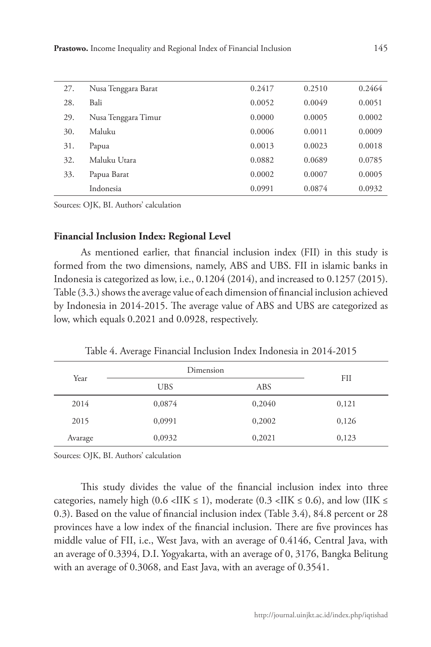| 27. | Nusa Tenggara Barat | 0.2417 | 0.2510 | 0.2464 |
|-----|---------------------|--------|--------|--------|
| 28. | Bali                | 0.0052 | 0.0049 | 0.0051 |
| 29. | Nusa Tenggara Timur | 0.0000 | 0.0005 | 0.0002 |
| 30. | Maluku              | 0.0006 | 0.0011 | 0.0009 |
| 31. | Papua               | 0.0013 | 0.0023 | 0.0018 |
| 32. | Maluku Utara        | 0.0882 | 0.0689 | 0.0785 |
| 33. | Papua Barat         | 0.0002 | 0.0007 | 0.0005 |
|     | Indonesia           | 0.0991 | 0.0874 | 0.0932 |
|     |                     |        |        |        |

Sources: OJK, BI. Authors' calculation

#### **Financial Inclusion Index: Regional Level**

As mentioned earlier, that financial inclusion index (FII) in this study is formed from the two dimensions, namely, ABS and UBS. FII in islamic banks in Indonesia is categorized as low, i.e., 0.1204 (2014), and increased to 0.1257 (2015). Table (3.3.) shows the average value of each dimension of financial inclusion achieved by Indonesia in 2014-2015. The average value of ABS and UBS are categorized as low, which equals 0.2021 and 0.0928, respectively.

Table 4. Average Financial Inclusion Index Indonesia in 2014-2015

| Year    | Dimension  |        | FII   |  |
|---------|------------|--------|-------|--|
|         | <b>UBS</b> | ABS.   |       |  |
| 2014    | 0,0874     | 0,2040 | 0,121 |  |
| 2015    | 0,0991     | 0,2002 | 0,126 |  |
| Avarage | 0,0932     | 0,2021 | 0,123 |  |

Sources: OJK, BI. Authors' calculation

This study divides the value of the financial inclusion index into three categories, namely high (0.6 <IIK  $\leq$  1), moderate (0.3 <IIK  $\leq$  0.6), and low (IIK  $\leq$ 0.3). Based on the value of financial inclusion index (Table 3.4), 84.8 percent or 28 provinces have a low index of the financial inclusion. There are five provinces has middle value of FII, i.e., West Java, with an average of 0.4146, Central Java, with an average of 0.3394, D.I. Yogyakarta, with an average of 0, 3176, Bangka Belitung with an average of 0.3068, and East Java, with an average of 0.3541.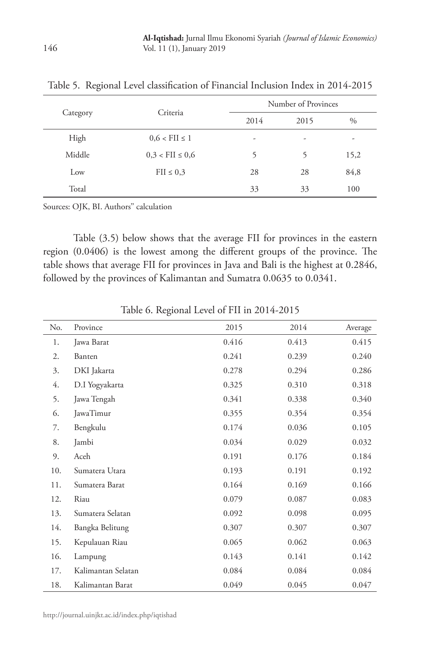| Category | Criteria               | Number of Provinces      |      |      |
|----------|------------------------|--------------------------|------|------|
|          |                        | 2014                     | 2015 | $\%$ |
| High     | $0.6 <$ FII $\leq 1$   | $\overline{\phantom{a}}$ | ۰    | ۰    |
| Middle   | $0.3 <$ FII $\leq 0.6$ | 5                        | 5    | 15,2 |
| Low      | $\text{FII} \leq 0.3$  | 28                       | 28   | 84,8 |
| Total    |                        | 33                       | 33   | 100  |

Table 5. Regional Level classification of Financial Inclusion Index in 2014-2015

Sources: OJK, BI. Authors'' calculation

 Table (3.5) below shows that the average FII for provinces in the eastern region (0.0406) is the lowest among the different groups of the province. The table shows that average FII for provinces in Java and Bali is the highest at 0.2846, followed by the provinces of Kalimantan and Sumatra 0.0635 to 0.0341.

| No. | Province           | 2015  | 2014  | Average |
|-----|--------------------|-------|-------|---------|
| 1.  | Jawa Barat         | 0.416 | 0.413 | 0.415   |
| 2.  | Banten             | 0.241 | 0.239 | 0.240   |
| 3.  | DKI Jakarta        | 0.278 | 0.294 | 0.286   |
| 4.  | D.I Yogyakarta     | 0.325 | 0.310 | 0.318   |
| 5.  | Jawa Tengah        | 0.341 | 0.338 | 0.340   |
| 6.  | JawaTimur          | 0.355 | 0.354 | 0.354   |
| 7.  | Bengkulu           | 0.174 | 0.036 | 0.105   |
| 8.  | Jambi              | 0.034 | 0.029 | 0.032   |
| 9.  | Aceh               | 0.191 | 0.176 | 0.184   |
| 10. | Sumatera Utara     | 0.193 | 0.191 | 0.192   |
| 11. | Sumatera Barat     | 0.164 | 0.169 | 0.166   |
| 12. | Riau               | 0.079 | 0.087 | 0.083   |
| 13. | Sumatera Selatan   | 0.092 | 0.098 | 0.095   |
| 14. | Bangka Belitung    | 0.307 | 0.307 | 0.307   |
| 15. | Kepulauan Riau     | 0.065 | 0.062 | 0.063   |
| 16. | Lampung            | 0.143 | 0.141 | 0.142   |
| 17. | Kalimantan Selatan | 0.084 | 0.084 | 0.084   |
| 18. | Kalimantan Barat   | 0.049 | 0.045 | 0.047   |

Table 6. Regional Level of FII in 2014-2015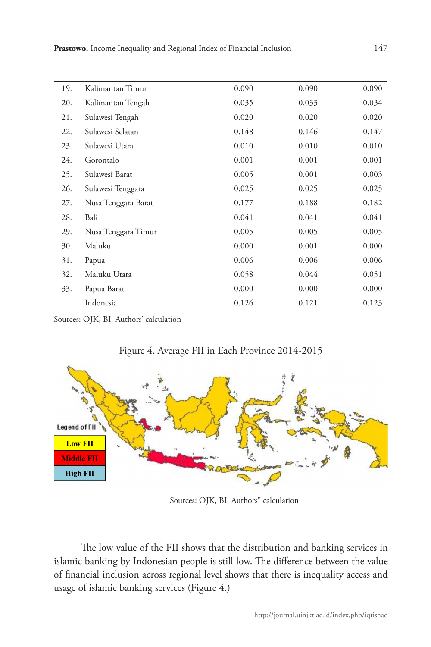| 19. | Kalimantan Timur    | 0.090 | 0.090 | 0.090 |
|-----|---------------------|-------|-------|-------|
| 20. | Kalimantan Tengah   | 0.035 | 0.033 | 0.034 |
| 21. | Sulawesi Tengah     | 0.020 | 0.020 | 0.020 |
| 22. | Sulawesi Selatan    | 0.148 | 0.146 | 0.147 |
| 23. | Sulawesi Utara      | 0.010 | 0.010 | 0.010 |
| 24. | Gorontalo           | 0.001 | 0.001 | 0.001 |
| 25. | Sulawesi Barat      | 0.005 | 0.001 | 0.003 |
| 26. | Sulawesi Tenggara   | 0.025 | 0.025 | 0.025 |
| 27. | Nusa Tenggara Barat | 0.177 | 0.188 | 0.182 |
| 28. | Bali                | 0.041 | 0.041 | 0.041 |
| 29. | Nusa Tenggara Timur | 0.005 | 0.005 | 0.005 |
| 30. | Maluku              | 0.000 | 0.001 | 0.000 |
| 31. | Papua               | 0.006 | 0.006 | 0.006 |
| 32. | Maluku Utara        | 0.058 | 0.044 | 0.051 |
| 33. | Papua Barat         | 0.000 | 0.000 | 0.000 |
|     | Indonesia           | 0.126 | 0.121 | 0.123 |

Sources: OJK, BI. Authors' calculation



Figure 4. Average FII in Each Province 2014-2015

Sources: OJK, BI. Authors'' calculation

The low value of the FII shows that the distribution and banking services in islamic banking by Indonesian people is still low. The difference between the value of financial inclusion across regional level shows that there is inequality access and usage of islamic banking services (Figure 4.)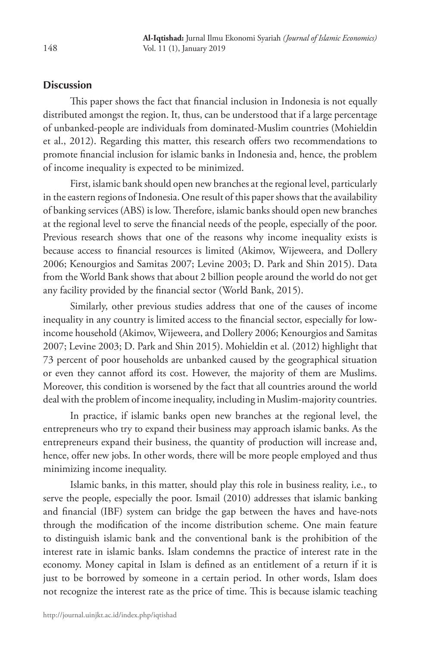# **Discussion**

This paper shows the fact that financial inclusion in Indonesia is not equally distributed amongst the region. It, thus, can be understood that if a large percentage of unbanked-people are individuals from dominated-Muslim countries (Mohieldin et al., 2012). Regarding this matter, this research offers two recommendations to promote financial inclusion for islamic banks in Indonesia and, hence, the problem of income inequality is expected to be minimized.

First, islamic bank should open new branches at the regional level, particularly in the eastern regions of Indonesia. One result of this paper shows that the availability of banking services (ABS) is low. Therefore, islamic banks should open new branches at the regional level to serve the financial needs of the people, especially of the poor. Previous research shows that one of the reasons why income inequality exists is because access to financial resources is limited (Akimov, Wijeweera, and Dollery 2006; Kenourgios and Samitas 2007; Levine 2003; D. Park and Shin 2015). Data from the World Bank shows that about 2 billion people around the world do not get any facility provided by the financial sector (World Bank, 2015).

Similarly, other previous studies address that one of the causes of income inequality in any country is limited access to the financial sector, especially for lowincome household (Akimov, Wijeweera, and Dollery 2006; Kenourgios and Samitas 2007; Levine 2003; D. Park and Shin 2015). Mohieldin et al. (2012) highlight that 73 percent of poor households are unbanked caused by the geographical situation or even they cannot afford its cost. However, the majority of them are Muslims. Moreover, this condition is worsened by the fact that all countries around the world deal with the problem of income inequality, including in Muslim-majority countries.

In practice, if islamic banks open new branches at the regional level, the entrepreneurs who try to expand their business may approach islamic banks. As the entrepreneurs expand their business, the quantity of production will increase and, hence, offer new jobs. In other words, there will be more people employed and thus minimizing income inequality.

Islamic banks, in this matter, should play this role in business reality, i.e., to serve the people, especially the poor. Ismail (2010) addresses that islamic banking and financial (IBF) system can bridge the gap between the haves and have-nots through the modification of the income distribution scheme. One main feature to distinguish islamic bank and the conventional bank is the prohibition of the interest rate in islamic banks. Islam condemns the practice of interest rate in the economy. Money capital in Islam is defined as an entitlement of a return if it is just to be borrowed by someone in a certain period. In other words, Islam does not recognize the interest rate as the price of time. This is because islamic teaching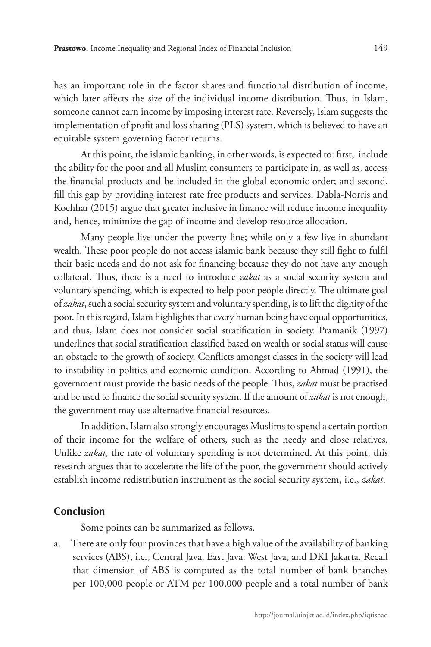has an important role in the factor shares and functional distribution of income, which later affects the size of the individual income distribution. Thus, in Islam, someone cannot earn income by imposing interest rate. Reversely, Islam suggests the implementation of profit and loss sharing (PLS) system, which is believed to have an equitable system governing factor returns.

At this point, the islamic banking, in other words, is expected to: first, include the ability for the poor and all Muslim consumers to participate in, as well as, access the financial products and be included in the global economic order; and second, fill this gap by providing interest rate free products and services. Dabla-Norris and Kochhar (2015) argue that greater inclusive in finance will reduce income inequality and, hence, minimize the gap of income and develop resource allocation.

Many people live under the poverty line; while only a few live in abundant wealth. These poor people do not access islamic bank because they still fight to fulfil their basic needs and do not ask for financing because they do not have any enough collateral. Thus, there is a need to introduce *zakat* as a social security system and voluntary spending, which is expected to help poor people directly. The ultimate goal of *zakat*, such a social security system and voluntary spending, is to lift the dignity of the poor. In this regard, Islam highlights that every human being have equal opportunities, and thus, Islam does not consider social stratification in society. Pramanik (1997) underlines that social stratification classified based on wealth or social status will cause an obstacle to the growth of society. Conflicts amongst classes in the society will lead to instability in politics and economic condition. According to Ahmad (1991), the government must provide the basic needs of the people. Thus, *zakat* must be practised and be used to finance the social security system. If the amount of *zakat* is not enough, the government may use alternative financial resources.

In addition, Islam also strongly encourages Muslims to spend a certain portion of their income for the welfare of others, such as the needy and close relatives. Unlike *zakat*, the rate of voluntary spending is not determined. At this point, this research argues that to accelerate the life of the poor, the government should actively establish income redistribution instrument as the social security system, i.e., *zakat*.

## **Conclusion**

Some points can be summarized as follows.

a. There are only four provinces that have a high value of the availability of banking services (ABS), i.e., Central Java, East Java, West Java, and DKI Jakarta. Recall that dimension of ABS is computed as the total number of bank branches per 100,000 people or ATM per 100,000 people and a total number of bank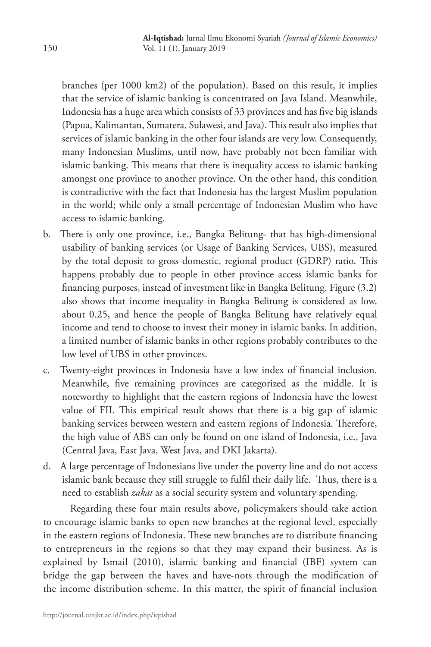branches (per 1000 km2) of the population). Based on this result, it implies that the service of islamic banking is concentrated on Java Island. Meanwhile, Indonesia has a huge area which consists of 33 provinces and has five big islands (Papua, Kalimantan, Sumatera, Sulawesi, and Java). This result also implies that services of islamic banking in the other four islands are very low. Consequently, many Indonesian Muslims, until now, have probably not been familiar with islamic banking. This means that there is inequality access to islamic banking amongst one province to another province. On the other hand, this condition is contradictive with the fact that Indonesia has the largest Muslim population in the world; while only a small percentage of Indonesian Muslim who have access to islamic banking.

- b. There is only one province, i.e., Bangka Belitung- that has high-dimensional usability of banking services (or Usage of Banking Services, UBS), measured by the total deposit to gross domestic, regional product (GDRP) ratio. This happens probably due to people in other province access islamic banks for financing purposes, instead of investment like in Bangka Belitung. Figure (3.2) also shows that income inequality in Bangka Belitung is considered as low, about 0.25, and hence the people of Bangka Belitung have relatively equal income and tend to choose to invest their money in islamic banks. In addition, a limited number of islamic banks in other regions probably contributes to the low level of UBS in other provinces.
- c. Twenty-eight provinces in Indonesia have a low index of financial inclusion. Meanwhile, five remaining provinces are categorized as the middle. It is noteworthy to highlight that the eastern regions of Indonesia have the lowest value of FII. This empirical result shows that there is a big gap of islamic banking services between western and eastern regions of Indonesia. Therefore, the high value of ABS can only be found on one island of Indonesia, i.e., Java (Central Java, East Java, West Java, and DKI Jakarta).
- d. A large percentage of Indonesians live under the poverty line and do not access islamic bank because they still struggle to fulfil their daily life. Thus, there is a need to establish *zakat* as a social security system and voluntary spending.

Regarding these four main results above, policymakers should take action to encourage islamic banks to open new branches at the regional level, especially in the eastern regions of Indonesia. These new branches are to distribute financing to entrepreneurs in the regions so that they may expand their business. As is explained by Ismail (2010), islamic banking and financial (IBF) system can bridge the gap between the haves and have-nots through the modification of the income distribution scheme. In this matter, the spirit of financial inclusion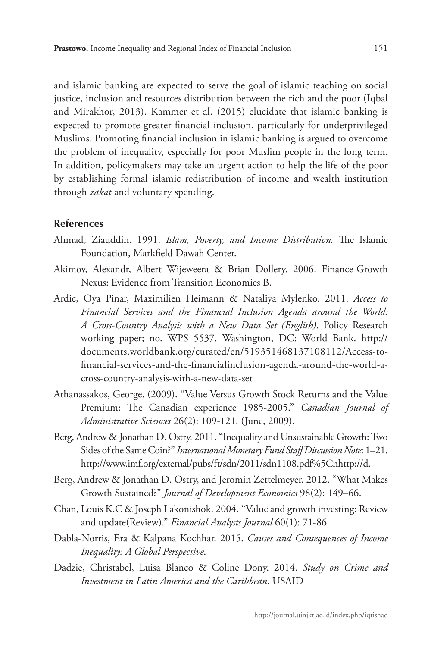and islamic banking are expected to serve the goal of islamic teaching on social justice, inclusion and resources distribution between the rich and the poor (Iqbal and Mirakhor, 2013). Kammer et al. (2015) elucidate that islamic banking is expected to promote greater financial inclusion, particularly for underprivileged Muslims. Promoting financial inclusion in islamic banking is argued to overcome the problem of inequality, especially for poor Muslim people in the long term. In addition, policymakers may take an urgent action to help the life of the poor by establishing formal islamic redistribution of income and wealth institution through *zakat* and voluntary spending.

#### **References**

- Ahmad, Ziauddin. 1991. *Islam, Poverty, and Income Distribution.* The Islamic Foundation, Markfield Dawah Center.
- Akimov, Alexandr, Albert Wijeweera & Brian Dollery. 2006. Finance-Growth Nexus: Evidence from Transition Economies B.
- Ardic, Oya Pinar, Maximilien Heimann & Nataliya Mylenko. 2011. *Access to Financial Services and the Financial Inclusion Agenda around the World: A Cross-Country Analysis with a New Data Set (English)*. Policy Research working paper; no. WPS 5537. Washington, DC: World Bank. http:// documents.worldbank.org/curated/en/519351468137108112/Access-tofinancial-services-and-the-financialinclusion-agenda-around-the-world-across-country-analysis-with-a-new-data-set
- Athanassakos, George. (2009). "Value Versus Growth Stock Returns and the Value Premium: The Canadian experience 1985-2005." *Canadian Journal of Administrative Sciences* 26(2): 109-121. (June, 2009).
- Berg, Andrew & Jonathan D. Ostry. 2011. "Inequality and Unsustainable Growth: Two Sides of the Same Coin?" *International Monetary Fund Staff Discussion Note*: 1–21. http://www.imf.org/external/pubs/ft/sdn/2011/sdn1108.pdf%5Cnhttp://d.
- Berg, Andrew & Jonathan D. Ostry, and Jeromin Zettelmeyer. 2012. "What Makes Growth Sustained?" *Journal of Development Economics* 98(2): 149–66.
- Chan, Louis K.C & Joseph Lakonishok. 2004. "Value and growth investing: Review and update(Review)." *Financial Analysts Journal* 60(1): 71-86.
- Dabla-Norris, Era & Kalpana Kochhar. 2015. *Causes and Consequences of Income Inequality: A Global Perspective*.
- Dadzie, Christabel, Luisa Blanco & Coline Dony. 2014. *Study on Crime and Investment in Latin America and the Caribbean*. USAID